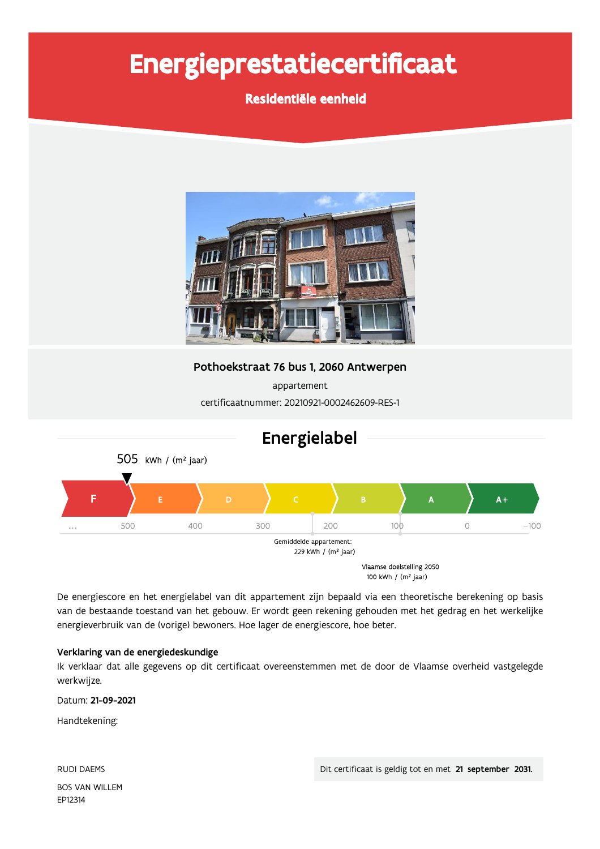# Energieprestatiecertificaat

Residentiële eenheid



Pothoekstraat 76 bus 1, 2060 Antwerpen

appartement certificaatnummer: 20210921-0002462609-RES-1



De energiescore en het energielabel van dit appartement zijn bepaald via een theoretische berekening op basis van de bestaande toestand van het gebouw. Er wordt geen rekening gehouden met het gedrag en het werkelijke energieverbruik van de (vorige) bewoners. Hoe lager de energiescore, hoe beter.

#### Verklaring van de energiedeskundige

Ik verklaar dat alle gegevens op dit certificaat overeenstemmen met de door de Vlaamse overheid vastgelegde werkwijze.

Datum: 21-09-2021

Handtekening:

**RUDI DAEMS BOS VAN WILLEM** EP12314

Dit certificaat is geldig tot en met 21 september 2031.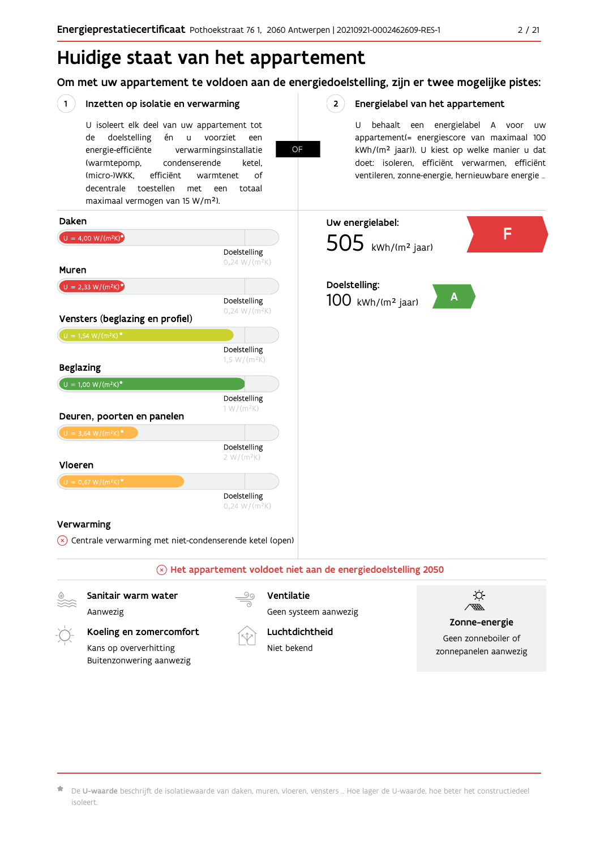## Huidige staat van het appartement

Om met uw appartement te voldoen aan de energiedoelstelling, zijn er twee mogelijke pistes:

**OF** 

 $2^{\circ}$ 

#### $(1)$ Inzetten op isolatie en verwarming

U isoleert elk deel van uw appartement tot doelstelling voorziet de én  $\sf u$ een energie-efficiënte verwarmingsinstallatie (warmtepomp, condenserende ketel. (micro-)WKK. efficiënt warmtenet  $\bigcap_{ }$ decentrale toestellen met een totaal maximaal vermogen van 15 W/m<sup>2</sup>).

#### Energielabel van het appartement

U behaalt een energielabel A voor  $\overline{U}$ appartement(= energiescore van maximaal 100 kWh/(m<sup>2</sup> jaar)). U kiest op welke manier u dat doet: isoleren, efficiënt verwarmen, efficiënt ventileren, zonne-energie, hernieuwbare energie ...



Koeling en zomercomfort Kans op oververhitting Buitenzonwering aanwezig



Luchtdichtheid

Niet bekend

Zonne-energie

Geen zonneboiler of zonnepanelen aanwezig

De U-waarde beschrijft de isolatiewaarde van daken, muren, vloeren, vensters ... Hoe lager de U-waarde, hoe beter het constructiedeel isoleert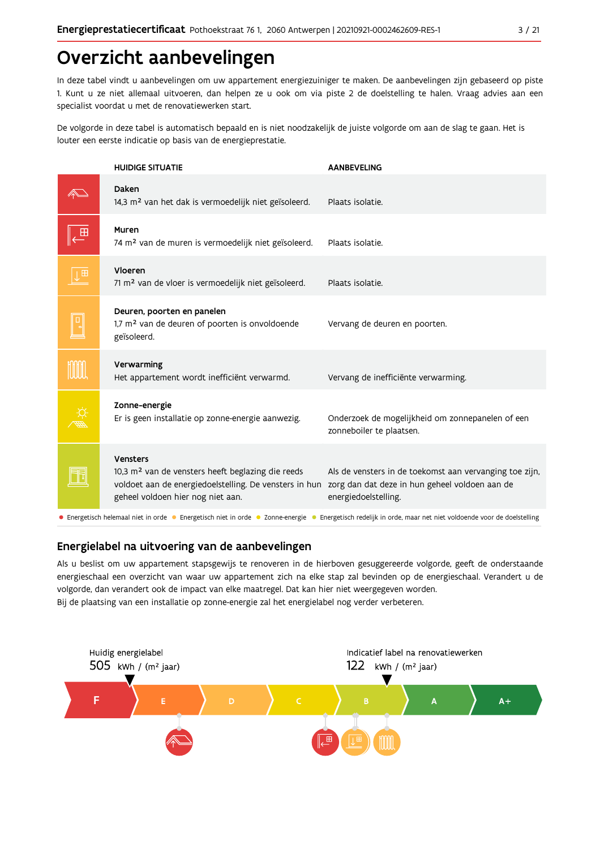## Overzicht aanbevelingen

In deze tabel vindt u aanbevelingen om uw appartement energiezuiniger te maken. De aanbevelingen zijn gebaseerd op piste 1. Kunt u ze niet allemaal uitvoeren, dan helpen ze u ook om via piste 2 de doelstelling te halen. Vraag advies aan een specialist voordat u met de renovatiewerken start.

De volgorde in deze tabel is automatisch bepaald en is niet noodzakelijk de juiste volgorde om aan de slag te gaan. Het is louter een eerste indicatie op basis van de energieprestatie.

|   | <b>HUIDIGE SITUATIE</b>                                                                                                                                                  | <b>AANBEVELING</b>                                                                                                                                          |
|---|--------------------------------------------------------------------------------------------------------------------------------------------------------------------------|-------------------------------------------------------------------------------------------------------------------------------------------------------------|
|   | Daken<br>14,3 m <sup>2</sup> van het dak is vermoedelijk niet geïsoleerd.                                                                                                | Plaats isolatie.                                                                                                                                            |
|   | Muren<br>74 m <sup>2</sup> van de muren is vermoedelijk niet geïsoleerd.                                                                                                 | Plaats isolatie.                                                                                                                                            |
| 田 | Vloeren<br>71 m <sup>2</sup> van de vloer is vermoedelijk niet geïsoleerd.                                                                                               | Plaats isolatie.                                                                                                                                            |
|   | Deuren, poorten en panelen<br>1,7 m <sup>2</sup> van de deuren of poorten is onvoldoende<br>geïsoleerd.                                                                  | Vervang de deuren en poorten.                                                                                                                               |
|   | Verwarming<br>Het appartement wordt inefficiënt verwarmd.                                                                                                                | Vervang de inefficiënte verwarming.                                                                                                                         |
|   | Zonne-energie<br>Er is geen installatie op zonne-energie aanwezig.                                                                                                       | Onderzoek de mogelijkheid om zonnepanelen of een<br>zonneboiler te plaatsen.                                                                                |
|   | Vensters<br>10,3 m <sup>2</sup> van de vensters heeft beglazing die reeds<br>voldoet aan de energiedoelstelling. De vensters in hun<br>geheel voldoen hier nog niet aan. | Als de vensters in de toekomst aan vervanging toe zijn,<br>zorg dan dat deze in hun geheel voldoen aan de<br>energiedoelstelling.                           |
|   |                                                                                                                                                                          | • Energetisch helemaal niet in orde • Energetisch niet in orde • Zonne-energie • Energetisch redelijk in orde, maar net niet voldoende voor de doelstelling |

### Energielabel na uitvoering van de aanbevelingen

Als u beslist om uw appartement stapsgewijs te renoveren in de hierboven gesuggereerde volgorde, geeft de onderstaande energieschaal een overzicht van waar uw appartement zich na elke stap zal bevinden op de energieschaal. Verandert u de volgorde, dan verandert ook de impact van elke maatregel. Dat kan hier niet weergegeven worden. Bij de plaatsing van een installatie op zonne-energie zal het energielabel nog verder verbeteren.

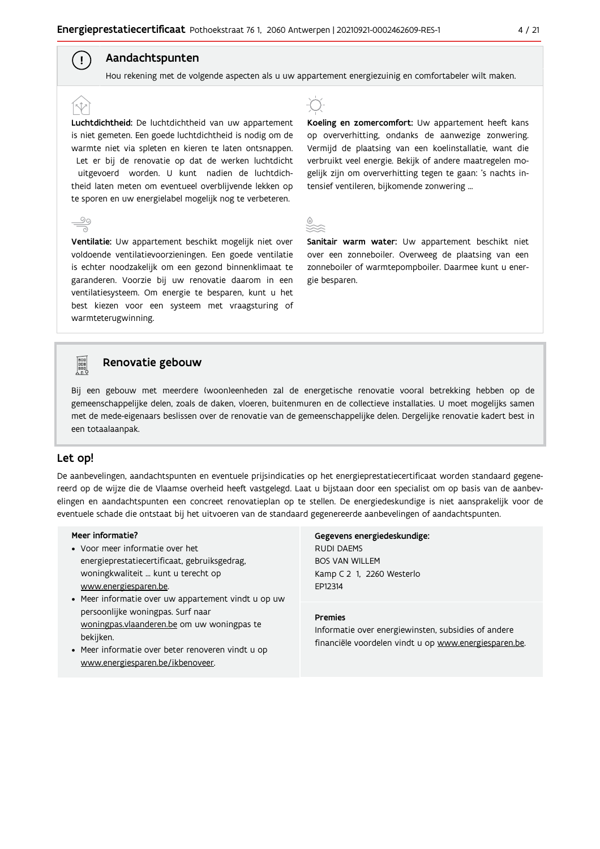### Aandachtspunten

 $\left( \begin{array}{c} 1 \end{array} \right)$ 

Hou rekening met de volgende aspecten als u uw appartement energiezuinig en comfortabeler wilt maken.

Luchtdichtheid: De luchtdichtheid van uw appartement is niet gemeten. Een goede luchtdichtheid is nodig om de warmte niet via spleten en kieren te laten ontsnappen. Let er bij de renovatie op dat de werken luchtdicht uitgevoerd worden. U kunt nadien de luchtdichtheid laten meten om eventueel overblijvende lekken op te sporen en uw energielabel mogelijk nog te verbeteren.

Ventilatie: Uw appartement beschikt mogelijk niet over voldoende ventilatievoorzieningen. Een goede ventilatie is echter noodzakelijk om een gezond binnenklimaat te garanderen. Voorzie bij uw renovatie daarom in een ventilatiesysteem. Om energie te besparen, kunt u het best kiezen voor een systeem met vraagsturing of warmteterugwinning.



Koeling en zomercomfort: Uw appartement heeft kans op oververhitting, ondanks de aanwezige zonwering. Vermijd de plaatsing van een koelinstallatie, want die verbruikt veel energie. Bekijk of andere maatregelen mogelijk zijn om oververhitting tegen te gaan: 's nachts intensief ventileren, bijkomende zonwering ...



Sanitair warm water: Uw appartement beschikt niet over een zonneboiler. Overweeg de plaatsing van een zonneboiler of warmtepompboiler. Daarmee kunt u energie besparen.



#### Renovatie gebouw

Bij een gebouw met meerdere (woon)eenheden zal de energetische renovatie vooral betrekking hebben op de gemeenschappelijke delen, zoals de daken, vloeren, buitenmuren en de collectieve installaties. U moet mogelijks samen met de mede-eigenaars beslissen over de renovatie van de gemeenschappelijke delen. Dergelijke renovatie kadert best in een totaalaanpak.

#### Let op!

De aanbevelingen, aandachtspunten en eventuele prijsindicaties op het energieprestatiecertificaat worden standaard gegenereerd op de wijze die de Vlaamse overheid heeft vastgelegd. Laat u bijstaan door een specialist om op basis van de aanbevelingen en aandachtspunten een concreet renovatieplan op te stellen. De energiedeskundige is niet aansprakelijk voor de eventuele schade die ontstaat bij het uitvoeren van de standaard gegenereerde aanbevelingen of aandachtspunten.

#### Meer informatie?

- Voor meer informatie over het energieprestatiecertificaat, gebruiksgedrag, woningkwaliteit ... kunt u terecht op www.energiesparen.be.
- Meer informatie over uw appartement vindt u op uw persoonlijke woningpas. Surf naar woningpas.vlaanderen.be om uw woningpas te bekijken.
- Meer informatie over beter renoveren vindt u op www.energiesparen.be/ikbenoveer.

### Gegevens energiedeskundige: **RUDI DAEMS BOS VAN WILLEM**

Kamp C 2 1, 2260 Westerlo EP12314

#### **Premies**

Informatie over energiewinsten, subsidies of andere financiële voordelen vindt u op www.energiesparen.be.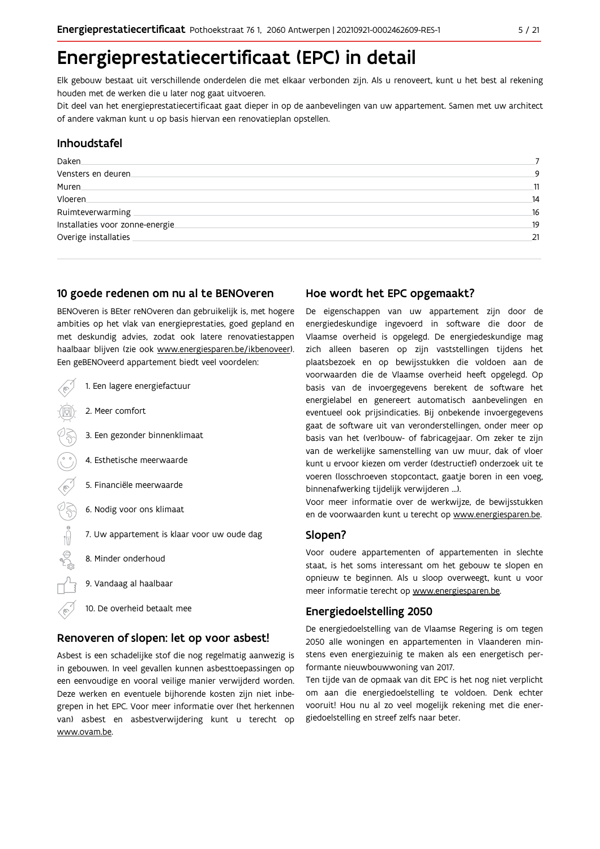## Energieprestatiecertificaat (EPC) in detail

Elk gebouw bestaat uit verschillende onderdelen die met elkaar verbonden zijn. Als u renoveert, kunt u het best al rekening houden met de werken die u later nog gaat uitvoeren.

Dit deel van het energieprestatiecertificaat gaat dieper in op de aanbevelingen van uw appartement. Samen met uw architect of andere vakman kunt u op basis hiervan een renovatieplan opstellen.

#### Inhoudstafel

| Daken                            |     |
|----------------------------------|-----|
| Vensters en deuren               | 9   |
| Muren.                           | 11  |
| Vloeren                          | 14  |
| Ruimteverwarming                 | 16  |
| Installaties voor zonne-energie. | .19 |
| Overige installaties             | 21  |
|                                  |     |

#### 10 goede redenen om nu al te BENOveren

BENOveren is BEter reNOveren dan gebruikelijk is, met hogere ambities op het vlak van energieprestaties, goed gepland en met deskundig advies, zodat ook latere renovatiestappen haalbaar blijven (zie ook www.energiesparen.be/ikbenoveer). Een geBENOveerd appartement biedt veel voordelen:

| 1. Een lagere energiefactuur                |
|---------------------------------------------|
| 2. Meer comfort                             |
| 3. Een gezonder binnenklimaat               |
| 4. Esthetische meerwaarde                   |
| 5. Financiële meerwaarde                    |
| 6. Nodig voor ons klimaat                   |
| 7. Uw appartement is klaar voor uw oude dag |
| 8. Minder onderhoud                         |
| 9. Vandaag al haalbaar                      |
| 10. De overheid betaalt mee                 |

#### Renoveren of slopen: let op voor asbest!

Asbest is een schadelijke stof die nog regelmatig aanwezig is in gebouwen. In veel gevallen kunnen asbesttoepassingen op een eenvoudige en vooral veilige manier verwijderd worden. Deze werken en eventuele bijhorende kosten zijn niet inbegrepen in het EPC. Voor meer informatie over (het herkennen van) asbest en asbestverwijdering kunt u terecht op www.ovam.be.

#### Hoe wordt het EPC opgemaakt?

De eigenschappen van uw appartement zijn door de energiedeskundige ingevoerd in software die door de Vlaamse overheid is opgelegd. De energiedeskundige mag zich alleen baseren op zijn vaststellingen tijdens het plaatsbezoek en op bewijsstukken die voldoen aan de voorwaarden die de Vlaamse overheid heeft opgelegd. Op basis van de invoergegevens berekent de software het energielabel en genereert automatisch aanbevelingen en eventueel ook prijsindicaties. Bij onbekende invoergegevens gaat de software uit van veronderstellingen, onder meer op basis van het (ver)bouw- of fabricagejaar. Om zeker te zijn van de werkelijke samenstelling van uw muur, dak of vloer kunt u ervoor kiezen om verder (destructief) onderzoek uit te voeren (losschroeven stopcontact, gaatje boren in een voeg, binnenafwerking tijdelijk verwijderen ...).

Voor meer informatie over de werkwijze, de bewijsstukken en de voorwaarden kunt u terecht op www.energiesparen.be.

#### Slopen?

Voor oudere appartementen of appartementen in slechte staat, is het soms interessant om het gebouw te slopen en opnieuw te beginnen. Als u sloop overweegt, kunt u voor meer informatie terecht op www.energiesparen.be.

#### **Energiedoelstelling 2050**

De energiedoelstelling van de Vlaamse Regering is om tegen 2050 alle woningen en appartementen in Vlaanderen minstens even energiezuinig te maken als een energetisch performante nieuwbouwwoning van 2017.

Ten tijde van de opmaak van dit EPC is het nog niet verplicht om aan die energiedoelstelling te voldoen. Denk echter vooruit! Hou nu al zo veel mogelijk rekening met die energiedoelstelling en streef zelfs naar beter.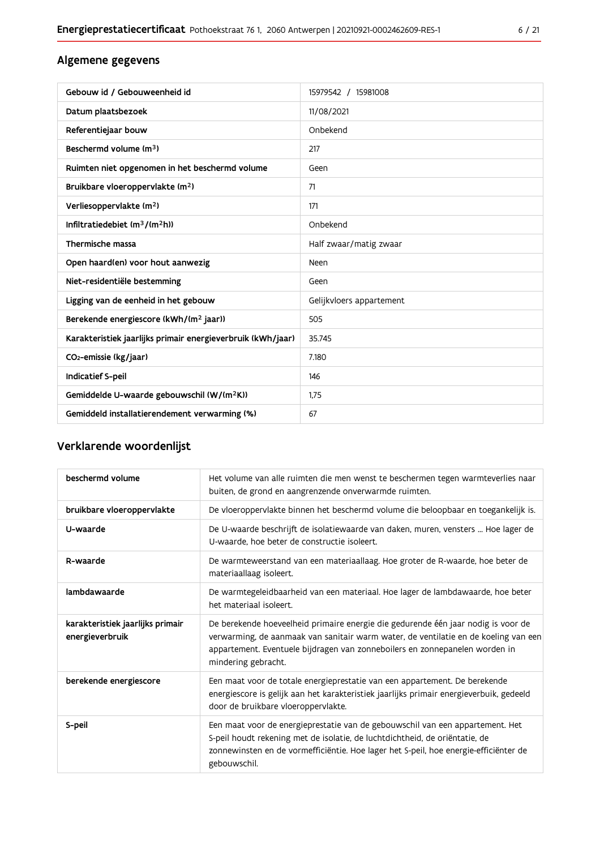### Algemene gegevens

| Gebouw id / Gebouweenheid id                                | 15979542 / 15981008      |
|-------------------------------------------------------------|--------------------------|
| Datum plaatsbezoek                                          | 11/08/2021               |
| Referentiejaar bouw                                         | Onbekend                 |
| Beschermd volume (m <sup>3</sup> )                          | 217                      |
| Ruimten niet opgenomen in het beschermd volume              | Geen                     |
| Bruikbare vloeroppervlakte (m <sup>2</sup> )                | 71                       |
| Verliesoppervlakte (m <sup>2</sup> )                        | 171                      |
| Infiltratiedebiet $(m^3/(m^2h))$                            | Onbekend                 |
| Thermische massa                                            | Half zwaar/matig zwaar   |
| Open haard(en) voor hout aanwezig                           | Neen                     |
| Niet-residentiële bestemming                                | Geen                     |
| Ligging van de eenheid in het gebouw                        | Gelijkvloers appartement |
| Berekende energiescore (kWh/(m <sup>2</sup> jaar))          | 505                      |
| Karakteristiek jaarlijks primair energieverbruik (kWh/jaar) | 35.745                   |
| CO <sub>2</sub> -emissie (kg/jaar)                          | 7.180                    |
| Indicatief S-peil                                           | 146                      |
| Gemiddelde U-waarde gebouwschil (W/(m <sup>2</sup> K))      | 1,75                     |
| Gemiddeld installatierendement verwarming (%)               | 67                       |

## Verklarende woordenlijst

| beschermd volume                                    | Het volume van alle ruimten die men wenst te beschermen tegen warmteverlies naar<br>buiten, de grond en aangrenzende onverwarmde ruimten.                                                                                                                                      |
|-----------------------------------------------------|--------------------------------------------------------------------------------------------------------------------------------------------------------------------------------------------------------------------------------------------------------------------------------|
| bruikbare vloeroppervlakte                          | De vloeroppervlakte binnen het beschermd volume die beloopbaar en toegankelijk is.                                                                                                                                                                                             |
| U-waarde                                            | De U-waarde beschrijft de isolatiewaarde van daken, muren, vensters  Hoe lager de<br>U-waarde, hoe beter de constructie isoleert.                                                                                                                                              |
| R-waarde                                            | De warmteweerstand van een materiaallaag. Hoe groter de R-waarde, hoe beter de<br>materiaallaag isoleert.                                                                                                                                                                      |
| lambdawaarde                                        | De warmtegeleidbaarheid van een materiaal. Hoe lager de lambdawaarde, hoe beter<br>het materiaal isoleert.                                                                                                                                                                     |
| karakteristiek jaarlijks primair<br>energieverbruik | De berekende hoeveelheid primaire energie die gedurende één jaar nodig is voor de<br>verwarming, de aanmaak van sanitair warm water, de ventilatie en de koeling van een<br>appartement. Eventuele bijdragen van zonneboilers en zonnepanelen worden in<br>mindering gebracht. |
| berekende energiescore                              | Een maat voor de totale energieprestatie van een appartement. De berekende<br>energiescore is gelijk aan het karakteristiek jaarlijks primair energieverbuik, gedeeld<br>door de bruikbare vloeroppervlakte.                                                                   |
| S-peil                                              | Een maat voor de energieprestatie van de gebouwschil van een appartement. Het<br>S-peil houdt rekening met de isolatie, de luchtdichtheid, de oriëntatie, de<br>zonnewinsten en de vormefficiëntie. Hoe lager het S-peil, hoe energie-efficiënter de<br>gebouwschil.           |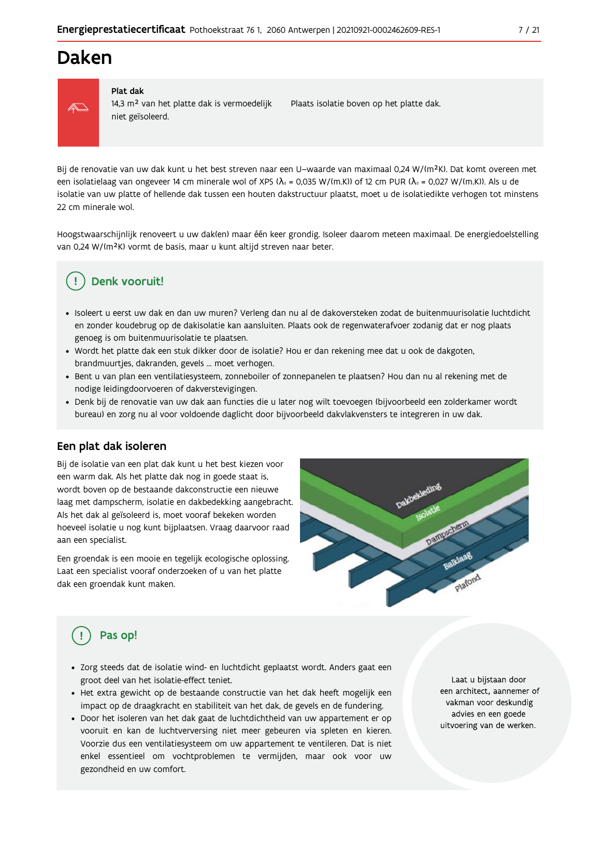## Daken



#### Plat dak

14,3 m<sup>2</sup> van het platte dak is vermoedelijk niet geïsoleerd.

Plaats isolatie boven op het platte dak.

Bij de renovatie van uw dak kunt u het best streven naar een U-waarde van maximaal 0,24 W/(m<sup>2</sup>K). Dat komt overeen met een isolatielaag van ongeveer 14 cm minerale wol of XPS ( $\lambda_a$  = 0,035 W/(m.K)) of 12 cm PUR ( $\lambda_a$  = 0,027 W/(m.K)). Als u de isolatie van uw platte of hellende dak tussen een houten dakstructuur plaatst, moet u de isolatiedikte verhogen tot minstens 22 cm minerale wol.

Hoogstwaarschijnlijk renoveert u uw daklen) maar één keer grondig. Isoleer daarom meteen maximaal. De energiedoelstelling van 0,24 W/(m<sup>2</sup>K) vormt de basis, maar u kunt altijd streven naar beter.

## Denk vooruit!

- · Isoleert u eerst uw dak en dan uw muren? Verleng dan nu al de dakoversteken zodat de buitenmuurisolatie luchtdicht en zonder koudebrug op de dakisolatie kan aansluiten. Plaats ook de regenwaterafvoer zodanig dat er nog plaats genoeg is om buitenmuurisolatie te plaatsen.
- · Wordt het platte dak een stuk dikker door de isolatie? Hou er dan rekening mee dat u ook de dakgoten, brandmuurtjes, dakranden, gevels ... moet verhogen.
- · Bent u van plan een ventilatiesysteem, zonneboiler of zonnepanelen te plaatsen? Hou dan nu al rekening met de nodige leidingdoorvoeren of dakverstevigingen.
- · Denk bij de renovatie van uw dak aan functies die u later nog wilt toevoegen (bijvoorbeeld een zolderkamer wordt bureau) en zorg nu al voor voldoende daglicht door bijvoorbeeld dakvlakvensters te integreren in uw dak.

#### Een plat dak isoleren

Bij de isolatie van een plat dak kunt u het best kiezen voor een warm dak. Als het platte dak nog in goede staat is, wordt boven op de bestaande dakconstructie een nieuwe laag met dampscherm, isolatie en dakbedekking aangebracht. Als het dak al geïsoleerd is, moet vooraf bekeken worden hoeveel isolatie u nog kunt bijplaatsen. Vraag daarvoor raad aan een specialist.

Een groendak is een mooie en tegelijk ecologische oplossing. Laat een specialist vooraf onderzoeken of u van het platte dak een groendak kunt maken.



## Pas op!

- · Zorg steeds dat de isolatie wind- en luchtdicht geplaatst wordt. Anders gaat een groot deel van het isolatie-effect teniet.
- · Het extra gewicht op de bestaande constructie van het dak heeft mogelijk een impact op de draagkracht en stabiliteit van het dak, de gevels en de fundering.
- · Door het isoleren van het dak gaat de luchtdichtheid van uw appartement er op vooruit en kan de luchtverversing niet meer gebeuren via spleten en kieren. Voorzie dus een ventilatiesysteem om uw appartement te ventileren. Dat is niet enkel essentieel om vochtproblemen te vermijden, maar ook voor uw gezondheid en uw comfort.

Laat u bijstaan door een architect, aannemer of vakman voor deskundig advies en een goede uitvoering van de werken.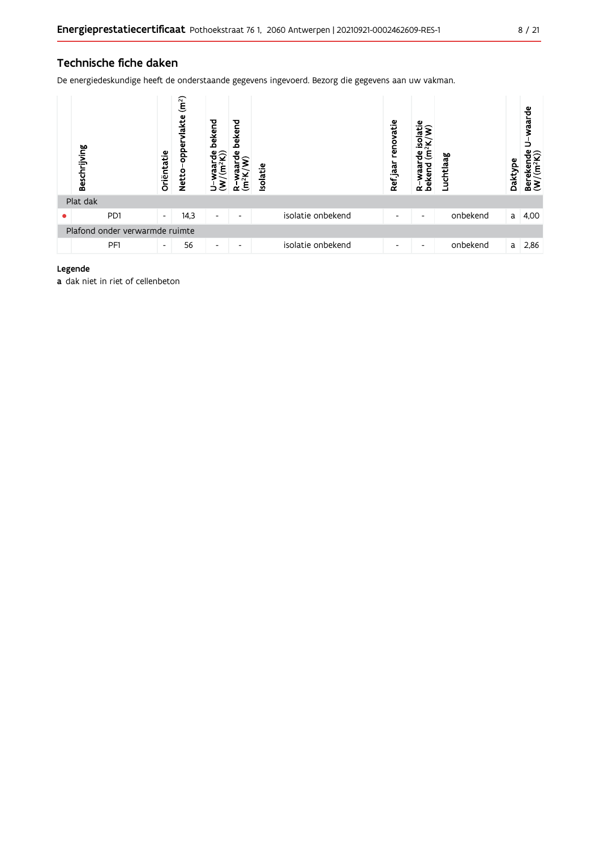### Technische fiche daken

De energiedeskundige heeft de onderstaande gegevens ingevoerd. Bezorg die gegevens aan uw vakman.

| Beschrijving                   | Oriëntatie               | (m <sup>2</sup> )<br>lakte<br>opper<br><b>Netto</b> | bekend<br>ಕಿ?<br>Ε       | bekend<br>Φ<br>έ         | Isolatie |                   | renovatie<br>Ref jaar | ω<br>isolati<br>Ξ<br>bekend<br>waar<br>$\alpha$ | Luchtlaag | Daktype | waarde<br>≌ิิ<br>Bereken<br>(W/(m <sup>2</sup> k |
|--------------------------------|--------------------------|-----------------------------------------------------|--------------------------|--------------------------|----------|-------------------|-----------------------|-------------------------------------------------|-----------|---------|--------------------------------------------------|
| Plat dak                       |                          |                                                     |                          |                          |          |                   |                       |                                                 |           |         |                                                  |
| P <sub>D</sub> 1               | $\overline{\phantom{a}}$ | 14,3                                                | $\overline{\phantom{a}}$ | $\overline{\phantom{0}}$ |          | isolatie onbekend | ٠                     | $\overline{\phantom{a}}$                        | onbekend  | a       | 4,00                                             |
| Plafond onder verwarmde ruimte |                          |                                                     |                          |                          |          |                   |                       |                                                 |           |         |                                                  |
| PF1                            | $\overline{\phantom{a}}$ | 56                                                  | ٠                        | $\overline{\phantom{0}}$ |          | isolatie onbekend | ٠                     | $\overline{\phantom{a}}$                        | onbekend  | a       | 2,86                                             |

#### Legende

a dak niet in riet of cellenbeton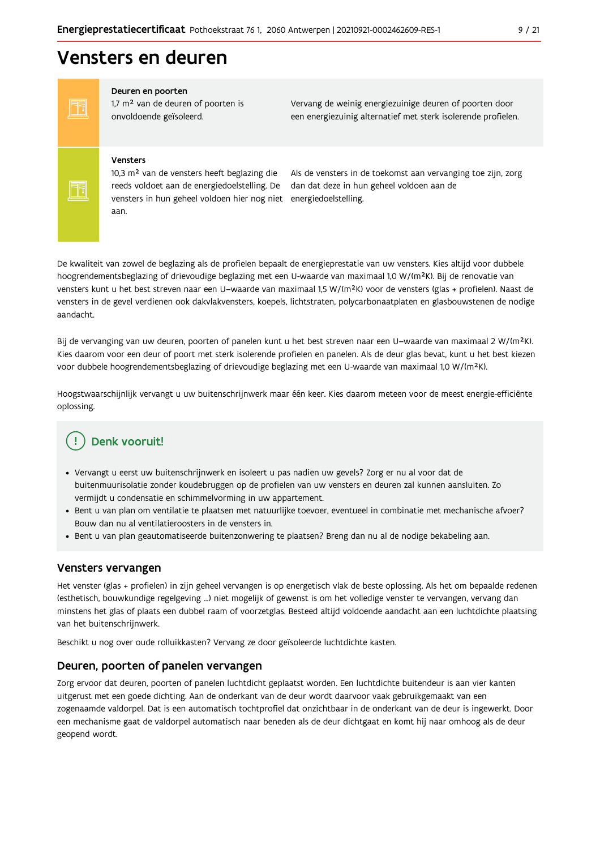## Vensters en deuren

FF FF

#### Deuren en poorten

1,7 m<sup>2</sup> van de deuren of poorten is onvoldoende geïsoleerd.

Vervang de weinig energiezuinige deuren of poorten door een energiezuinig alternatief met sterk isolerende profielen.

#### Vensters

10,3 m<sup>2</sup> van de vensters heeft beglazing die reeds voldoet aan de energiedoelstelling. De vensters in hun geheel voldoen hier nog niet energiedoelstelling. aan.

Als de vensters in de toekomst aan vervanging toe zijn, zorg dan dat deze in hun geheel voldoen aan de

De kwaliteit van zowel de beglazing als de profielen bepaalt de energieprestatie van uw vensters. Kies altijd voor dubbele hoogrendementsbeglazing of drievoudige beglazing met een U-waarde van maximaal 1,0 W/(m<sup>2</sup>K). Bij de renovatie van vensters kunt u het best streven naar een U-waarde van maximaal 1,5 W/(m<sup>2</sup>K) voor de vensters (glas + profielen). Naast de vensters in de gevel verdienen ook dakvlakvensters, koepels, lichtstraten, polycarbonaatplaten en glasbouwstenen de nodige aandacht.

Bij de vervanging van uw deuren, poorten of panelen kunt u het best streven naar een U-waarde van maximaal 2 W/(m<sup>2</sup>K). Kies daarom voor een deur of poort met sterk isolerende profielen en panelen. Als de deur glas bevat, kunt u het best kiezen voor dubbele hoogrendementsbeglazing of drievoudige beglazing met een U-waarde van maximaal 1,0 W/(m<sup>2</sup>K).

Hoogstwaarschijnlijk vervangt u uw buitenschrijnwerk maar één keer. Kies daarom meteen voor de meest energie-efficiënte oplossing.

## Denk vooruit!

- · Vervangt u eerst uw buitenschrijnwerk en isoleert u pas nadien uw gevels? Zorg er nu al voor dat de buitenmuurisolatie zonder koudebruggen op de profielen van uw vensters en deuren zal kunnen aansluiten. Zo vermijdt u condensatie en schimmelvorming in uw appartement.
- Bent u van plan om ventilatie te plaatsen met natuurlijke toevoer, eventueel in combinatie met mechanische afvoer? Bouw dan nu al ventilatieroosters in de vensters in.
- · Bent u van plan geautomatiseerde buitenzonwering te plaatsen? Breng dan nu al de nodige bekabeling aan.

#### Vensters vervangen

Het venster (glas + profielen) in zijn geheel vervangen is op energetisch vlak de beste oplossing. Als het om bepaalde redenen (esthetisch, bouwkundige regelgeving ...) niet mogelijk of gewenst is om het volledige venster te vervangen, vervang dan minstens het glas of plaats een dubbel raam of voorzetglas. Besteed altijd voldoende aandacht aan een luchtdichte plaatsing van het buitenschrijnwerk.

Beschikt u nog over oude rolluikkasten? Vervang ze door geïsoleerde luchtdichte kasten.

#### Deuren, poorten of panelen vervangen

Zorg ervoor dat deuren, poorten of panelen luchtdicht geplaatst worden. Een luchtdichte buitendeur is aan vier kanten uitgerust met een goede dichting. Aan de onderkant van de deur wordt daarvoor vaak gebruikgemaakt van een zogenaamde valdorpel. Dat is een automatisch tochtprofiel dat onzichtbaar in de onderkant van de deur is ingewerkt. Door een mechanisme gaat de valdorpel automatisch naar beneden als de deur dichtgaat en komt hij naar omhoog als de deur geopend wordt.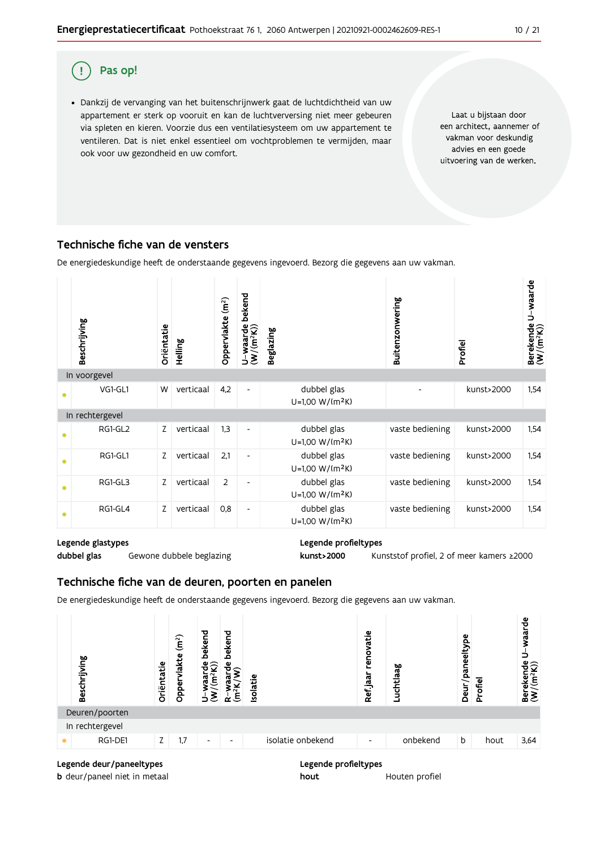#### ( ! Pas op!

· Dankzij de vervanging van het buitenschrijnwerk gaat de luchtdichtheid van uw appartement er sterk op vooruit en kan de luchtverversing niet meer gebeuren via spleten en kieren. Voorzie dus een ventilatiesysteem om uw appartement te ventileren. Dat is niet enkel essentieel om vochtproblemen te vermijden, maar ook voor uw gezondheid en uw comfort.

Laat u bijstaan door een architect, aannemer of vakman voor deskundig advies en een goede uitvoering van de werken.

 $10 / 21$ 

### Technische fiche van de vensters

De energiedeskundige heeft de onderstaande gegevens ingevoerd. Bezorg die gegevens aan uw vakman.



#### Legende glastypes

dubbel glas Gewone dubbele beglazing Legende profieltypes kunst>2000

Kunststof profiel, 2 of meer kamers ≥2000

### Technische fiche van de deuren, poorten en panelen

De energiedeskundige heeft de onderstaande gegevens ingevoerd. Bezorg die gegevens aan uw vakman.



Legende deur/paneeltypes

**b** deur/paneel niet in metaal

Legende profieltypes hout Houten profiel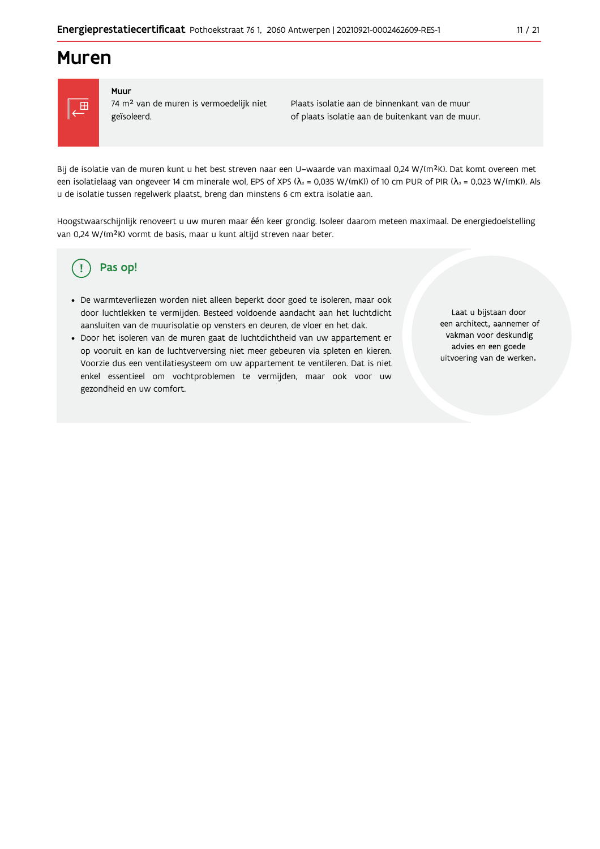## **Muren**



#### Muur

74 m<sup>2</sup> van de muren is vermoedelijk niet geïsoleerd.

Plaats isolatie aan de binnenkant van de muur of plaats isolatie aan de buitenkant van de muur.

Bij de isolatie van de muren kunt u het best streven naar een U-waarde van maximaal 0,24 W/(m<sup>2</sup>K). Dat komt overeen met een isolatielaag van ongeveer 14 cm minerale wol, EPS of XPS ( $\lambda_a$  = 0,035 W/(mK)) of 10 cm PUR of PIR ( $\lambda_a$  = 0,023 W/(mK)). Als u de isolatie tussen regelwerk plaatst, breng dan minstens 6 cm extra isolatie aan.

Hoogstwaarschijnlijk renoveert u uw muren maar één keer grondig. Isoleer daarom meteen maximaal. De energiedoelstelling van 0,24 W/(m<sup>2</sup>K) vormt de basis, maar u kunt altijd streven naar beter.

#### Pas op! (၂

- · De warmteverliezen worden niet alleen beperkt door goed te isoleren, maar ook door luchtlekken te vermijden. Besteed voldoende aandacht aan het luchtdicht aansluiten van de muurisolatie op vensters en deuren, de vloer en het dak.
- · Door het isoleren van de muren gaat de luchtdichtheid van uw appartement er op vooruit en kan de luchtverversing niet meer gebeuren via spleten en kieren. Voorzie dus een ventilatiesysteem om uw appartement te ventileren. Dat is niet enkel essentieel om vochtproblemen te vermijden, maar ook voor uw gezondheid en uw comfort.

Laat u bijstaan door een architect, aannemer of vakman voor deskundig advies en een goede uitvoering van de werken.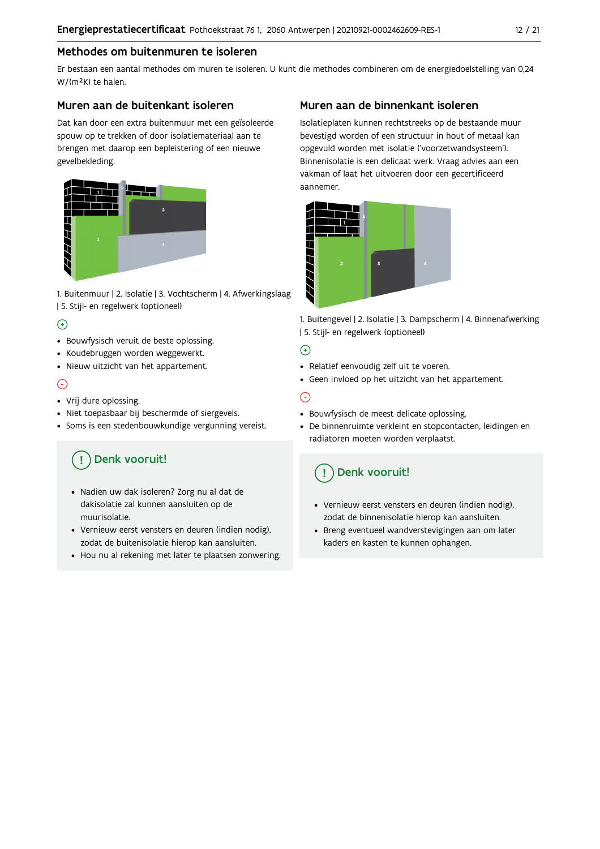### Methodes om buitenmuren te isoleren

Er bestaan een aantal methodes om muren te isoleren. U kunt die methodes combineren om de energiedoelstelling van 0,24 W/(m<sup>2</sup>K) te halen.

### Muren aan de buitenkant isoleren

Dat kan door een extra buitenmuur met een geïsoleerde spouw op te trekken of door isolatiemateriaal aan te brengen met daarop een bepleistering of een nieuwe gevelbekleding.



1. Buitenmuur | 2. Isolatie | 3. Vochtscherm | 4. Afwerkingslaag | 5. Stijl- en regelwerk (optioneel)

### $\bigoplus$

- Bouwfysisch veruit de beste oplossing.
- Koudebruggen worden weggewerkt.
- · Nieuw uitzicht van het appartement.

### $\odot$

- Vrij dure oplossing.
- · Niet toepasbaar bij beschermde of siergevels.
- Soms is een stedenbouwkundige vergunning vereist.

## Denk vooruit!

- · Nadien uw dak isoleren? Zorg nu al dat de dakisolatie zal kunnen aansluiten op de muurisolatie.
- · Vernieuw eerst vensters en deuren (indien nodig), zodat de buitenisolatie hierop kan aansluiten.
- Hou nu al rekening met later te plaatsen zonwering.

### Muren aan de binnenkant isoleren

Isolatieplaten kunnen rechtstreeks op de bestaande muur bevestigd worden of een structuur in hout of metaal kan opgevuld worden met isolatie ('voorzetwandsysteem'). Binnenisolatie is een delicaat werk. Vraag advies aan een vakman of laat het uitvoeren door een gecertificeerd aannemer



1. Buitengevel | 2. Isolatie | 3. Dampscherm | 4. Binnenafwerking | 5. Stijl- en regelwerk (optioneel)

### $\bigoplus$

- Relatief eenvoudig zelf uit te voeren.
- Geen invloed op het uitzicht van het appartement.

### ⊝

- Bouwfysisch de meest delicate oplossing.
- · De binnenruimte verkleint en stopcontacten, leidingen en radiatoren moeten worden verplaatst.

## Denk vooruit!

- Vernieuw eerst vensters en deuren (indien nodig), zodat de binnenisolatie hierop kan aansluiten.
- · Breng eventueel wandverstevigingen aan om later kaders en kasten te kunnen ophangen.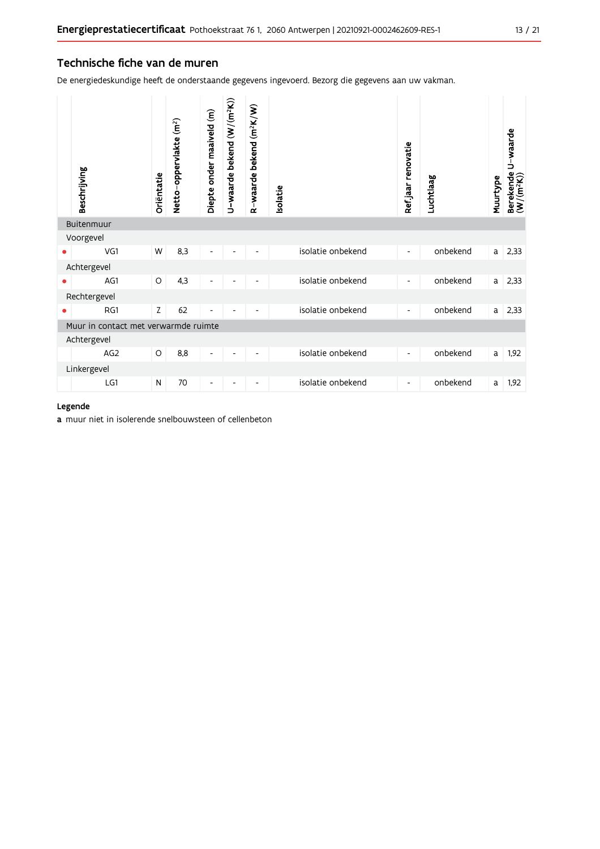#### Technische fiche van de muren

De energiedeskundige heeft de onderstaande gegevens ingevoerd. Bezorg die gegevens aan uw vakman.

| Beschrijving<br>Buitenmuur           | Oriëntatie | Netto-oppervlakte (m <sup>2</sup> ) | Diepte onder maaiveld (m) | U-waarde bekend (W/(m <sup>2</sup> K)) | R-waarde bekend (m <sup>2</sup> K/W) | <b>Isolatie</b> |                   | Refjaar renovatie        | Luchtlaag | Muurtype | Berekende U-waarde<br>(W/(m <sup>2</sup> K)) |
|--------------------------------------|------------|-------------------------------------|---------------------------|----------------------------------------|--------------------------------------|-----------------|-------------------|--------------------------|-----------|----------|----------------------------------------------|
| Voorgevel                            |            |                                     |                           |                                        |                                      |                 |                   |                          |           |          |                                              |
| VG1                                  | W          | 8,3                                 | $\overline{\phantom{a}}$  |                                        |                                      |                 | isolatie onbekend | $\overline{\phantom{a}}$ | onbekend  | a        | 2,33                                         |
|                                      |            |                                     |                           |                                        |                                      |                 |                   |                          |           |          |                                              |
| Achtergevel                          |            |                                     |                           |                                        |                                      |                 |                   |                          |           |          |                                              |
| AG1                                  | O          | 4,3                                 | $\overline{\phantom{a}}$  |                                        |                                      |                 | isolatie onbekend | $\overline{\phantom{a}}$ | onbekend  | a l      | 2,33                                         |
| Rechtergevel                         |            |                                     |                           |                                        |                                      |                 |                   |                          |           |          |                                              |
| RG1                                  | Z          | 62                                  | $\overline{\phantom{a}}$  |                                        |                                      |                 | isolatie onbekend | $\overline{\phantom{a}}$ | onbekend  | a        | 2,33                                         |
| Muur in contact met verwarmde ruimte |            |                                     |                           |                                        |                                      |                 |                   |                          |           |          |                                              |
| Achtergevel                          |            |                                     |                           |                                        |                                      |                 |                   |                          |           |          |                                              |
| AG <sub>2</sub>                      | O          | 8,8                                 | $\overline{\phantom{a}}$  |                                        |                                      |                 | isolatie onbekend | $\overline{\phantom{a}}$ | onbekend  | a        | 1,92                                         |
| Linkergevel                          |            |                                     |                           |                                        |                                      |                 |                   |                          |           |          |                                              |
| LG1                                  | N          | 70                                  | $\overline{a}$            |                                        |                                      |                 | isolatie onbekend | $\overline{\phantom{a}}$ | onbekend  | a        | 1,92                                         |

#### Legende

a muur niet in isolerende snelbouwsteen of cellenbeton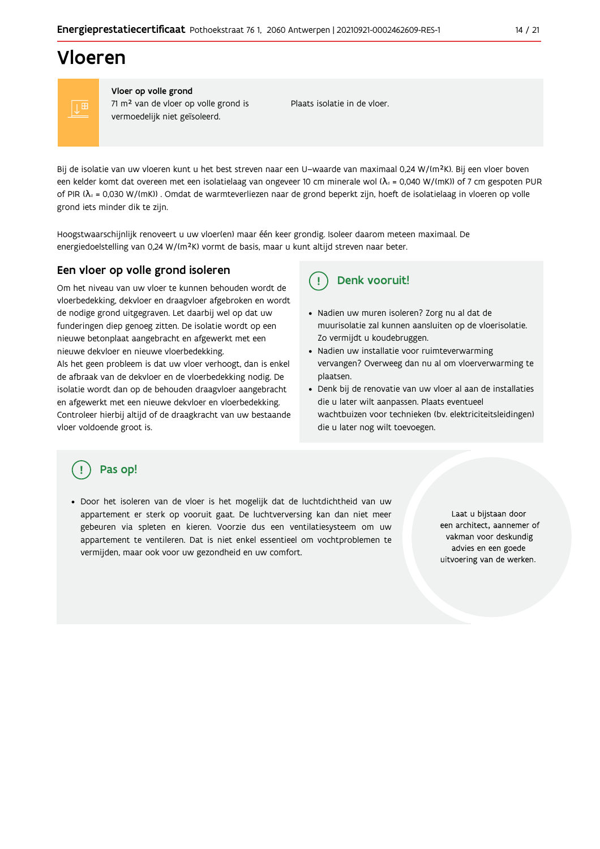## Vloeren

Vloer op volle grond 71 m<sup>2</sup> van de vloer op volle grond is vermoedelijk niet geïsoleerd.

Plaats isolatie in de vloer.

Bij de isolatie van uw vloeren kunt u het best streven naar een U-waarde van maximaal 0,24 W/(m<sup>2</sup>K). Bij een vloer boven een kelder komt dat overeen met een isolatielaag van ongeveer 10 cm minerale wol ( $\lambda_d$  = 0,040 W/(mK)) of 7 cm gespoten PUR of PIR ( $\lambda_0$  = 0,030 W/(mK)). Omdat de warmteverliezen naar de grond beperkt zijn, hoeft de isolatielaag in vloeren op volle grond iets minder dik te zijn.

Hoogstwaarschijnlijk renoveert u uw vloer(en) maar één keer grondig. Isoleer daarom meteen maximaal. De energiedoelstelling van 0,24 W/(m<sup>2</sup>K) vormt de basis, maar u kunt altijd streven naar beter.

### Een vloer op volle grond isoleren

Om het niveau van uw vloer te kunnen behouden wordt de vloerbedekking, dekvloer en draagvloer afgebroken en wordt de nodige grond uitgegraven. Let daarbij wel op dat uw funderingen diep genoeg zitten. De isolatie wordt op een nieuwe betonplaat aangebracht en afgewerkt met een nieuwe dekvloer en nieuwe vloerbedekking.

Als het geen probleem is dat uw vloer verhoogt, dan is enkel de afbraak van de dekvloer en de vloerbedekking nodig. De isolatie wordt dan op de behouden draagvloer aangebracht en afgewerkt met een nieuwe dekvloer en vloerbedekking. Controleer hierbij altijd of de draagkracht van uw bestaande vloer voldoende groot is.

#### Denk vooruit!  $\mathbf{I}$

- · Nadien uw muren isoleren? Zorg nu al dat de muurisolatie zal kunnen aansluiten op de vloerisolatie. Zo vermijdt u koudebruggen.
- Nadien uw installatie voor ruimteverwarming vervangen? Overweeg dan nu al om vloerverwarming te plaatsen.
- · Denk bij de renovatie van uw vloer al aan de installaties die u later wilt aanpassen. Plaats eventueel wachtbuizen voor technieken (bv. elektriciteitsleidingen) die u later nog wilt toevoegen.

### Pas op!

· Door het isoleren van de vloer is het mogelijk dat de luchtdichtheid van uw appartement er sterk op vooruit gaat. De luchtverversing kan dan niet meer gebeuren via spleten en kieren. Voorzie dus een ventilatiesysteem om uw appartement te ventileren. Dat is niet enkel essentieel om vochtproblemen te vermijden, maar ook voor uw gezondheid en uw comfort.

Laat u bijstaan door een architect, aannemer of vakman voor deskundig advies en een goede uitvoering van de werken.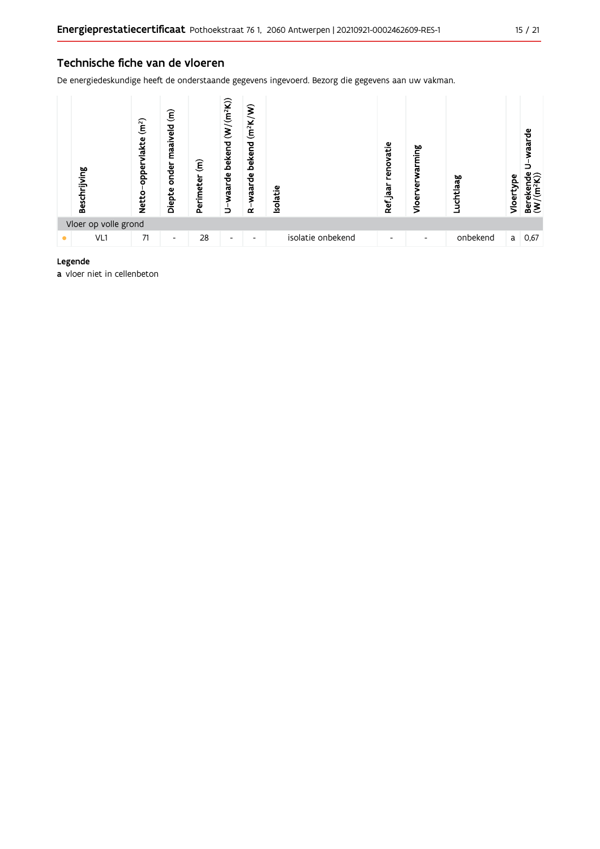De energiedeskundige heeft de onderstaande gegevens ingevoerd. Bezorg die gegevens aan uw vakman.



#### Legende

a vloer niet in cellenbeton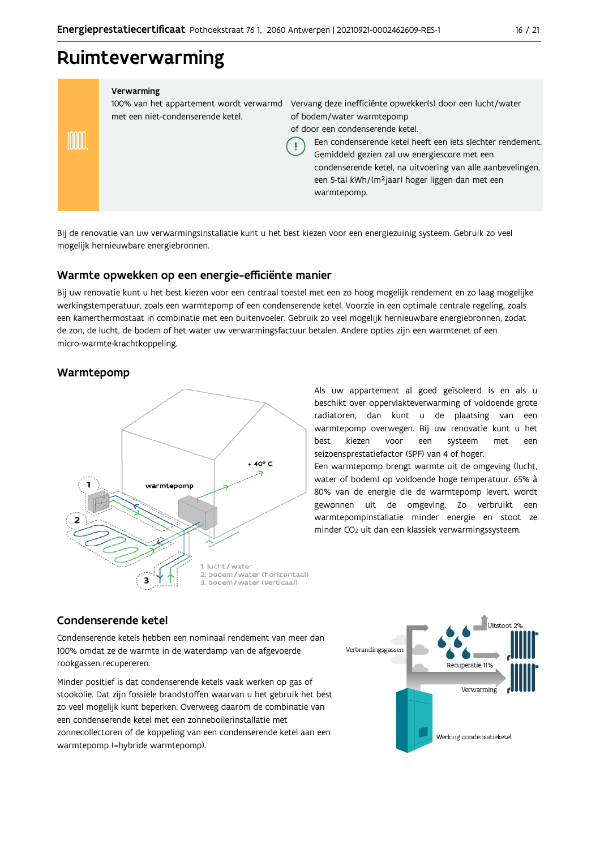## Ruimteverwarming

| Verwarming |  |
|------------|--|
|            |  |
|            |  |

100% van het appartement wordt verwarmd Vervang deze inefficiënte opwekker(s) door een lucht/water met een niet-condenserende ketel.

of bodem/water warmtepomp

of door een condenserende ketel.

Een condenserende ketel heeft een jets slechter rendement.

Gemiddeld gezien zal uw energiescore met een condenserende ketel, na uitvoering van alle aanbevelingen, een 5-tal kWh/(m<sup>2</sup>jaar) hoger liggen dan met een warmtepomp.

Bij de renovatie van uw verwarmingsinstallatie kunt u het best kiezen voor een energiezuinig systeem. Gebruik zo veel mogelijk hernieuwbare energiebronnen.

Ţ

### Warmte opwekken op een energie-efficiënte manier

Bij uw renovatie kunt u het best kiezen voor een centraal toestel met een zo hoog mogelijk rendement en zo laag mogelijke werkingstemperatuur, zoals een warmtepomp of een condenserende ketel. Voorzie in een optimale centrale regeling, zoals een kamerthermostaat in combinatie met een buitenvoeler. Gebruik zo veel mogelijk hernieuwbare energiebronnen, zodat de zon, de lucht, de bodem of het water uw verwarmingsfactuur betalen. Andere opties zijn een warmtenet of een micro-warmte-krachtkoppeling.

### Warmtepomp

mm



Als uw appartement al goed geïsoleerd is en als u beschikt over oppervlakteverwarming of voldoende grote radiatoren, dan kunt u de plaatsing van een warmtepomp overwegen. Bij uw renovatie kunt u het hest kiezen voor een systeem met een seizoensprestatiefactor (SPF) van 4 of hoger.

Een warmtepomp brengt warmte uit de omgeving (lucht, water of bodem) op voldoende hoge temperatuur. 65% à 80% van de energie die de warmtepomp levert, wordt gewonnen uit de omgeving. Zo verbruikt een warmtepompinstallatie minder energie en stoot ze minder CO<sub>2</sub> uit dan een klassiek verwarmingssysteem.

### Condenserende ketel

Condenserende ketels hebben een nominaal rendement van meer dan 100% omdat ze de warmte in de waterdamp van de afgevoerde rookgassen recupereren.

Minder positief is dat condenserende ketels vaak werken op gas of stookolie. Dat zijn fossiele brandstoffen waarvan u het gebruik het best zo veel mogelijk kunt beperken. Overweeg daarom de combinatie van een condenserende ketel met een zonneboilerinstallatie met zonnecollectoren of de koppeling van een condenserende ketel aan een warmtepomp (=hybride warmtepomp).

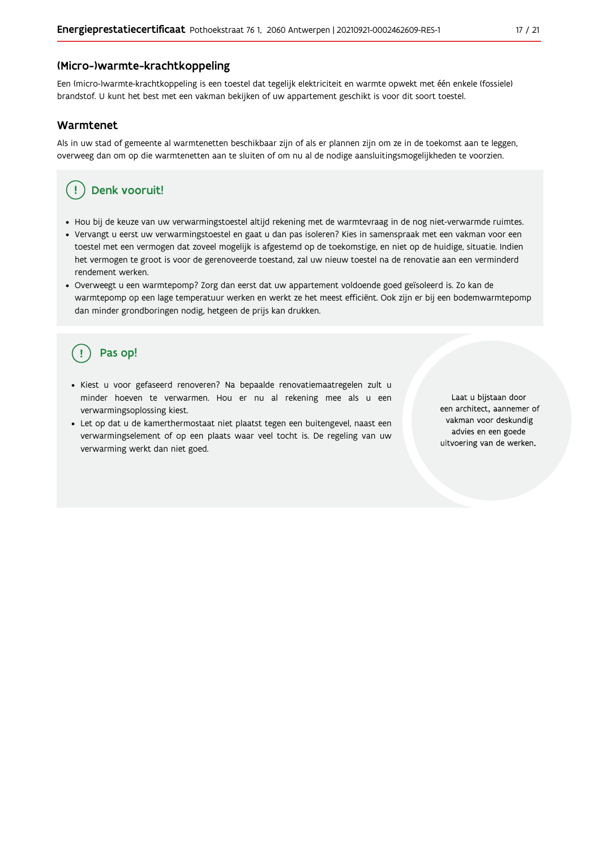#### (Micro-)warmte-krachtkoppeling

Een (micro-)warmte-krachtkoppeling is een toestel dat tegelijk elektriciteit en warmte opwekt met één enkele (fossiele) brandstof. U kunt het best met een vakman bekijken of uw appartement geschikt is voor dit soort toestel.

#### Warmtenet

Als in uw stad of gemeente al warmtenetten beschikbaar zijn of als er plannen zijn om ze in de toekomst aan te leggen, overweeg dan om op die warmtenetten aan te sluiten of om nu al de nodige aansluitingsmogelijkheden te voorzien.

## Denk vooruit!

- · Hou bij de keuze van uw verwarmingstoestel altijd rekening met de warmtevraag in de nog niet-verwarmde ruimtes.
- Vervangt u eerst uw verwarmingstoestel en gaat u dan pas isoleren? Kies in samenspraak met een vakman voor een toestel met een vermogen dat zoveel mogelijk is afgestemd op de toekomstige, en niet op de huidige, situatie. Indien het vermogen te groot is voor de gerenoveerde toestand, zal uw nieuw toestel na de renovatie aan een verminderd rendement werken.
- · Overweegt u een warmtepomp? Zorg dan eerst dat uw appartement voldoende goed geïsoleerd is. Zo kan de warmtepomp op een lage temperatuur werken en werkt ze het meest efficiënt. Ook zijn er bij een bodemwarmtepomp dan minder grondboringen nodig, hetgeen de prijs kan drukken.

## Pas op!

- · Kiest u voor gefaseerd renoveren? Na bepaalde renovatiemaatregelen zult u minder hoeven te verwarmen. Hou er nu al rekening mee als u een verwarmingsoplossing kiest.
- · Let op dat u de kamerthermostaat niet plaatst tegen een buitengevel, naast een verwarmingselement of op een plaats waar veel tocht is. De regeling van uw verwarming werkt dan niet goed.

Laat u bijstaan door een architect, aannemer of vakman voor deskundig advies en een goede uitvoering van de werken.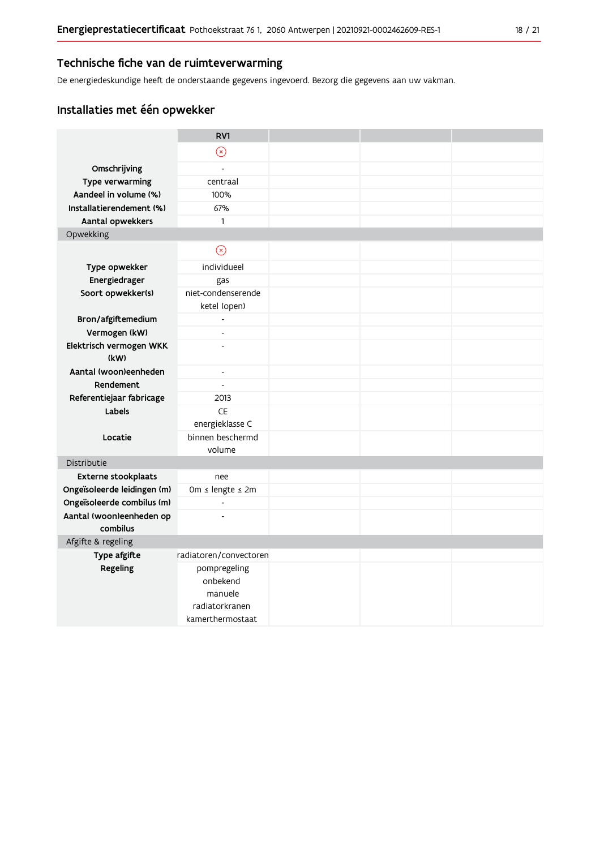### Technische fiche van de ruimteverwarming

De energiedeskundige heeft de onderstaande gegevens ingevoerd. Bezorg die gegevens aan uw vakman.

## Installaties met één opwekker

|                                      | RV1                       |  |  |
|--------------------------------------|---------------------------|--|--|
|                                      | $\odot$                   |  |  |
| Omschrijving                         | $\overline{a}$            |  |  |
| Type verwarming                      | centraal                  |  |  |
| Aandeel in volume (%)                | 100%                      |  |  |
| Installatierendement (%)             | 67%                       |  |  |
| Aantal opwekkers                     | $\mathbf{1}$              |  |  |
| Opwekking                            |                           |  |  |
|                                      | $\circledcirc$            |  |  |
| Type opwekker                        | individueel               |  |  |
| Energiedrager                        | gas                       |  |  |
| Soort opwekker(s)                    | niet-condenserende        |  |  |
|                                      | ketel (open)              |  |  |
| Bron/afgiftemedium                   | $\overline{\phantom{a}}$  |  |  |
| Vermogen (kW)                        | $\overline{a}$            |  |  |
| Elektrisch vermogen WKK              | $\overline{a}$            |  |  |
| (kW)                                 |                           |  |  |
| Aantal (woon)eenheden                | $\overline{\phantom{a}}$  |  |  |
| Rendement                            | $\overline{\phantom{a}}$  |  |  |
| Referentiejaar fabricage             | 2013                      |  |  |
| Labels                               | <b>CE</b>                 |  |  |
|                                      | energieklasse C           |  |  |
| Locatie                              | binnen beschermd          |  |  |
|                                      | volume                    |  |  |
| Distributie                          |                           |  |  |
| Externe stookplaats                  | nee                       |  |  |
| Ongeïsoleerde leidingen (m)          | 0m ≤ lengte ≤ 2m          |  |  |
| Ongeïsoleerde combilus (m)           | $\blacksquare$            |  |  |
| Aantal (woon)eenheden op<br>combilus | $\overline{a}$            |  |  |
| Afgifte & regeling                   |                           |  |  |
| Type afgifte                         | radiatoren/convectoren    |  |  |
| Regeling                             | pompregeling<br>onbekend  |  |  |
|                                      | manuele<br>radiatorkranen |  |  |
|                                      | kamerthermostaat          |  |  |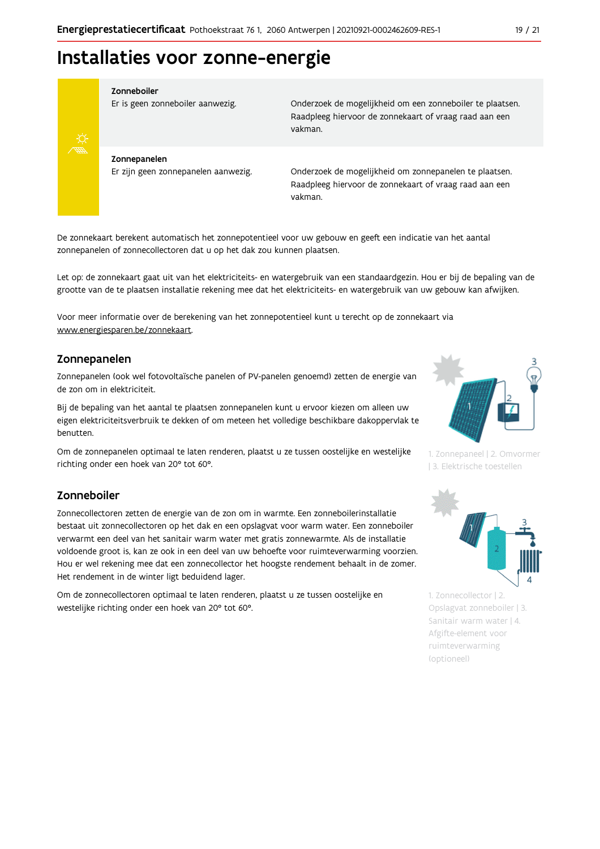## Installaties voor zonne-energie



#### Zonneboiler

Er is geen zonneboiler aanwezig.

Onderzoek de mogelijkheid om een zonneboiler te plaatsen. Raadpleeg hiervoor de zonnekaart of vraag raad aan een vakman.

Zonnepanelen Er zijn geen zonnepanelen aanwezig.

Onderzoek de mogelijkheid om zonnepanelen te plaatsen. Raadpleeg hiervoor de zonnekaart of vraag raad aan een vakman.

De zonnekaart berekent automatisch het zonnepotentieel voor uw gebouw en geeft een indicatie van het aantal zonnepanelen of zonnecollectoren dat u op het dak zou kunnen plaatsen.

Let op: de zonnekaart gaat uit van het elektriciteits- en watergebruik van een standaardgezin. Hou er bij de bepaling van de grootte van de te plaatsen installatie rekening mee dat het elektriciteits- en watergebruik van uw gebouw kan afwijken.

Voor meer informatie over de berekening van het zonnepotentieel kunt u terecht op de zonnekaart via www.energiesparen.be/zonnekaart.

#### Zonnepanelen

Zonnepanelen (ook wel fotovoltaïsche panelen of PV-panelen genoemd) zetten de energie van de zon om in elektriciteit.

Bij de bepaling van het aantal te plaatsen zonnepanelen kunt u ervoor kiezen om alleen uw eigen elektriciteitsverbruik te dekken of om meteen het volledige beschikbare dakoppervlak te benutten.

Om de zonnepanelen optimaal te laten renderen, plaatst u ze tussen oostelijke en westelijke richting onder een hoek van 20° tot 60°.

#### Zonneboiler

Zonnecollectoren zetten de energie van de zon om in warmte. Een zonneboilerinstallatie bestaat uit zonnecollectoren op het dak en een opslagvat voor warm water. Een zonneboiler verwarmt een deel van het sanitair warm water met gratis zonnewarmte. Als de installatie voldoende groot is, kan ze ook in een deel van uw behoefte voor ruimteverwarming voorzien. Hou er wel rekening mee dat een zonnecollector het hoogste rendement behaalt in de zomer. Het rendement in de winter ligt beduidend lager.

Om de zonnecollectoren optimaal te laten renderen, plaatst u ze tussen oostelijke en westelijke richting onder een hoek van 20° tot 60°.



1. Zonnepaneel | 2. Omvormer | 3. Elektrische toestellen



1. Zonnecollector | 2. Opslagvat zonneboiler | 3. Sanitair warm water | 4. Afgifte-element voor ruimteverwarming (optioneel)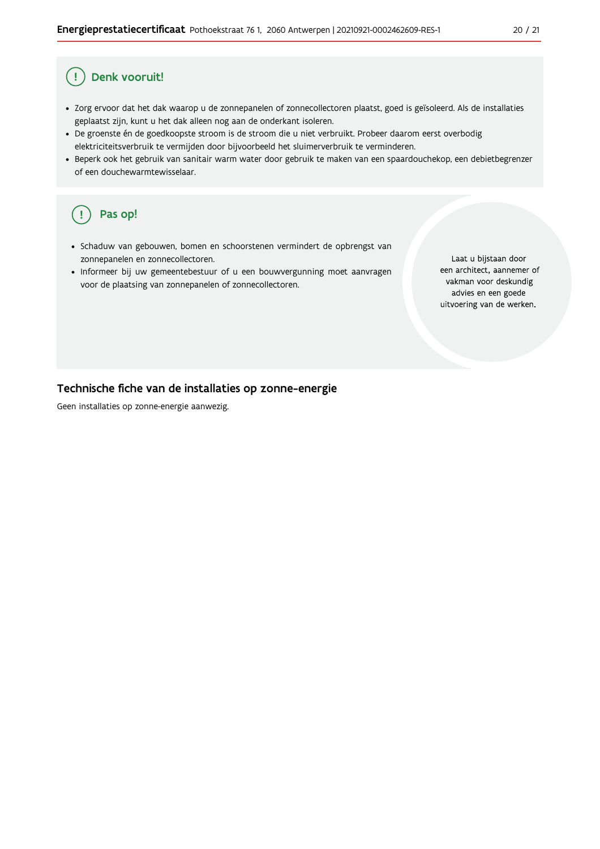#### Ţ Denk vooruit!

- · Zorg ervoor dat het dak waarop u de zonnepanelen of zonnecollectoren plaatst, goed is geïsoleerd. Als de installaties geplaatst zijn, kunt u het dak alleen nog aan de onderkant isoleren.
- · De groenste én de goedkoopste stroom is de stroom die u niet verbruikt. Probeer daarom eerst overbodig elektriciteitsverbruik te vermijden door bijvoorbeeld het sluimerverbruik te verminderen.
- · Beperk ook het gebruik van sanitair warm water door gebruik te maken van een spaardouchekop, een debietbegrenzer of een douchewarmtewisselaar.

#### Pas op! ( !

- · Schaduw van gebouwen, bomen en schoorstenen vermindert de opbrengst van zonnepanelen en zonnecollectoren.
- Informeer bij uw gemeentebestuur of u een bouwvergunning moet aanvragen voor de plaatsing van zonnepanelen of zonnecollectoren.

Laat u bijstaan door een architect, aannemer of vakman voor deskundig advies en een goede uitvoering van de werken.

#### Technische fiche van de installaties op zonne-energie

Geen installaties op zonne-energie aanwezig.